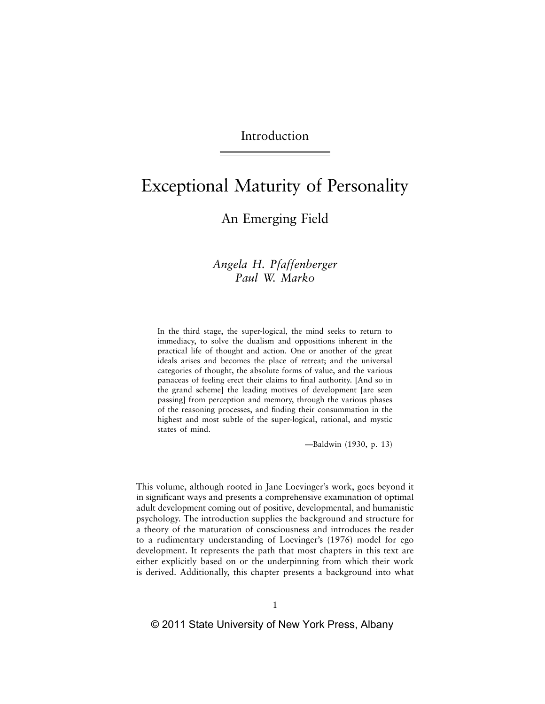## Exceptional Maturity of Personality

An Emerging Field

## *Angela H. Pfaffenberger Paul W. Marko*

In the third stage, the super-logical, the mind seeks to return to immediacy, to solve the dualism and oppositions inherent in the practical life of thought and action. One or another of the great ideals arises and becomes the place of retreat; and the universal categories of thought, the absolute forms of value, and the various panaceas of feeling erect their claims to final authority. [And so in the grand scheme] the leading motives of development [are seen passing] from perception and memory, through the various phases of the reasoning processes, and finding their consummation in the highest and most subtle of the super-logical, rational, and mystic states of mind.

—Baldwin (1930, p. 13)

This volume, although rooted in Jane Loevinger's work, goes beyond it in significant ways and presents a comprehensive examination of optimal adult development coming out of positive, developmental, and humanistic psychology. The introduction supplies the background and structure for a theory of the maturation of consciousness and introduces the reader to a rudimentary understanding of Loevinger's (1976) model for ego development. It represents the path that most chapters in this text are either explicitly based on or the underpinning from which their work is derived. Additionally, this chapter presents a background into what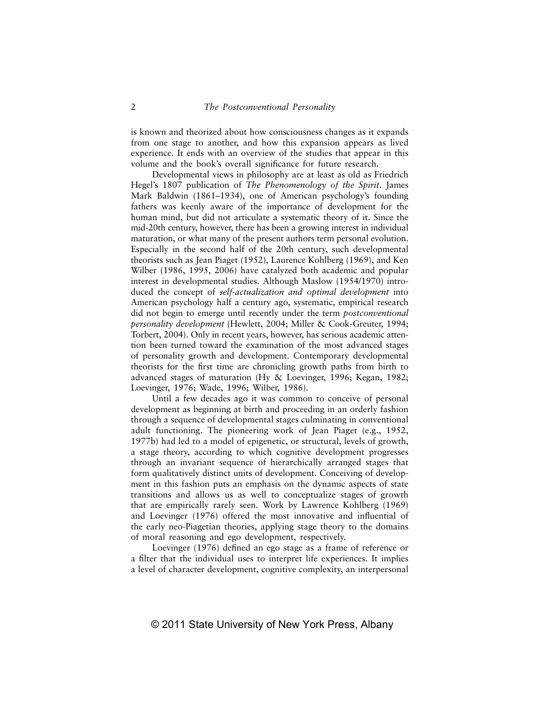is known and theorized about how consciousness changes as it expands from one stage to another, and how this expansion appears as lived experience. It ends with an overview of the studies that appear in this volume and the book's overall significance for future research.

Developmental views in philosophy are at least as old as Friedrich Hegel's 1807 publication of *The Phenomenology of the Spirit*. James Mark Baldwin (1861–1934), one of American psychology's founding fathers was keenly aware of the importance of development for the human mind, but did not articulate a systematic theory of it. Since the mid-20th century, however, there has been a growing interest in individual maturation, or what many of the present authors term personal evolution. Especially in the second half of the 20th century, such developmental theorists such as Jean Piaget (1952), Laurence Kohlberg (1969), and Ken Wilber (1986, 1995, 2006) have catalyzed both academic and popular interest in developmental studies. Although Maslow (1954/1970) introduced the concept of *self-actualization and optimal development* into American psychology half a century ago, systematic, empirical research did not begin to emerge until recently under the term *postconventional personality development* (Hewlett, 2004; Miller & Cook-Greuter, 1994; Torbert, 2004). Only in recent years, however, has serious academic attention been turned toward the examination of the most advanced stages of personality growth and development. Contemporary developmental theorists for the first time are chronicling growth paths from birth to advanced stages of maturation (Hy & Loevinger, 1996; Kegan, 1982; Loevinger, 1976; Wade, 1996; Wilber, 1986).

Until a few decades ago it was common to conceive of personal development as beginning at birth and proceeding in an orderly fashion through a sequence of developmental stages culminating in conventional adult functioning. The pioneering work of Jean Piaget (e.g., 1952, 1977b) had led to a model of epigenetic, or structural, levels of growth, a stage theory, according to which cognitive development progresses through an invariant sequence of hierarchically arranged stages that form qualitatively distinct units of development. Conceiving of development in this fashion puts an emphasis on the dynamic aspects of state transitions and allows us as well to conceptualize stages of growth that are empirically rarely seen. Work by Lawrence Kohlberg (1969) and Loevinger (1976) offered the most innovative and influential of the early neo-Piagetian theories, applying stage theory to the domains of moral reasoning and ego development, respectively.

Loevinger (1976) defined an ego stage as a frame of reference or a filter that the individual uses to interpret life experiences. It implies a level of character development, cognitive complexity, an interpersonal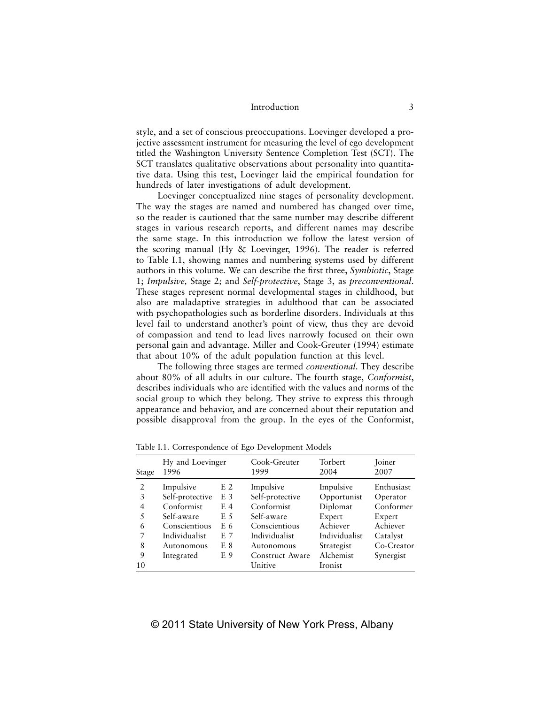## Introduction 3

style, and a set of conscious preoccupations. Loevinger developed a projective assessment instrument for measuring the level of ego development titled the Washington University Sentence Completion Test (SCT). The SCT translates qualitative observations about personality into quantitative data. Using this test, Loevinger laid the empirical foundation for hundreds of later investigations of adult development.

Loevinger conceptualized nine stages of personality development. The way the stages are named and numbered has changed over time, so the reader is cautioned that the same number may describe different stages in various research reports, and different names may describe the same stage. In this introduction we follow the latest version of the scoring manual (Hy & Loevinger, 1996). The reader is referred to Table I.1, showing names and numbering systems used by different authors in this volume. We can describe the first three, *Symbiotic*, Stage 1; *Impulsive,* Stage 2*;* and *Self-protective*, Stage 3, as *preconventional*. These stages represent normal developmental stages in childhood, but also are maladaptive strategies in adulthood that can be associated with psychopathologies such as borderline disorders. Individuals at this level fail to understand another's point of view, thus they are devoid of compassion and tend to lead lives narrowly focused on their own personal gain and advantage. Miller and Cook-Greuter (1994) estimate that about 10% of the adult population function at this level.

The following three stages are termed *conventional*. They describe about 80% of all adults in our culture. The fourth stage, *Conformist*, describes individuals who are identified with the values and norms of the social group to which they belong. They strive to express this through appearance and behavior, and are concerned about their reputation and possible disapproval from the group. In the eyes of the Conformist,

| Stage | Hy and Loevinger<br>1996 |                | Cook-Greuter<br>1999 | Torbert<br>2004 | Joiner<br>2007 |
|-------|--------------------------|----------------|----------------------|-----------------|----------------|
| 2     | Impulsive                | E 2            | Impulsive            | Impulsive       | Enthusiast     |
| 3     | Self-protective          | E <sub>3</sub> | Self-protective      | Opportunist     | Operator       |
| 4     | Conformist               | F. 4           | Conformist           | Diplomat        | Conformer      |
| 5     | Self-aware               | E 5            | Self-aware           | Expert          | Expert         |
| 6     | Conscientious            | E 6            | Conscientious        | Achiever        | Achiever       |
|       | Individualist            | E. 7           | Individualist        | Individualist   | Catalyst       |
| 8     | Autonomous               | E 8            | Autonomous           | Strategist      | Co-Creator     |
| 9     | Integrated               | E 9            | Construct Aware      | Alchemist       | Synergist      |
| 10    |                          |                | Unitive              | Ironist         |                |

Table I.1. Correspondence of Ego Development Models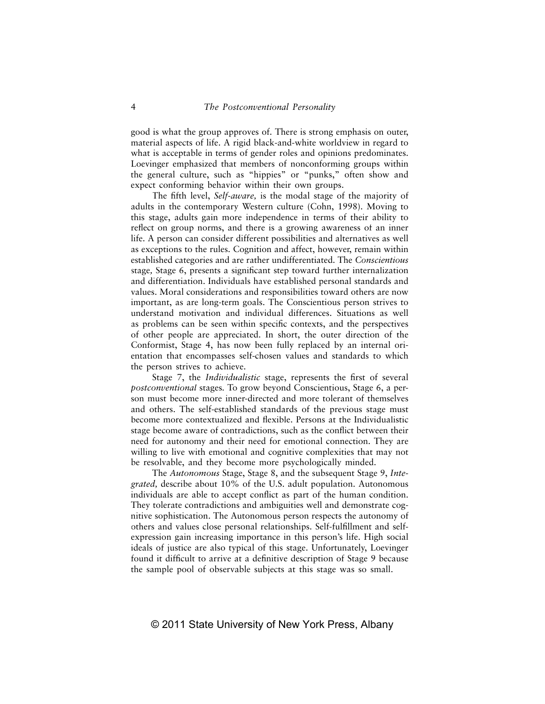good is what the group approves of. There is strong emphasis on outer, material aspects of life. A rigid black-and-white worldview in regard to what is acceptable in terms of gender roles and opinions predominates. Loevinger emphasized that members of nonconforming groups within the general culture, such as "hippies" or "punks," often show and expect conforming behavior within their own groups.

The fifth level, *Self-aware,* is the modal stage of the majority of adults in the contemporary Western culture (Cohn, 1998). Moving to this stage, adults gain more independence in terms of their ability to reflect on group norms, and there is a growing awareness of an inner life. A person can consider different possibilities and alternatives as well as exceptions to the rules. Cognition and affect, however, remain within established categories and are rather undifferentiated. The *Conscientious* stage*,* Stage 6, presents a significant step toward further internalization and differentiation. Individuals have established personal standards and values. Moral considerations and responsibilities toward others are now important, as are long-term goals. The Conscientious person strives to understand motivation and individual differences. Situations as well as problems can be seen within specific contexts, and the perspectives of other people are appreciated. In short, the outer direction of the Conformist, Stage 4, has now been fully replaced by an internal orientation that encompasses self-chosen values and standards to which the person strives to achieve.

Stage 7, the *Individualistic* stage, represents the first of several *postconventional* stages*.* To grow beyond Conscientious, Stage 6, a person must become more inner-directed and more tolerant of themselves and others. The self-established standards of the previous stage must become more contextualized and flexible. Persons at the Individualistic stage become aware of contradictions, such as the conflict between their need for autonomy and their need for emotional connection. They are willing to live with emotional and cognitive complexities that may not be resolvable, and they become more psychologically minded.

The *Autonomous* Stage, Stage 8, and the subsequent Stage 9, *Integrated,* describe about 10% of the U.S. adult population. Autonomous individuals are able to accept conflict as part of the human condition. They tolerate contradictions and ambiguities well and demonstrate cognitive sophistication. The Autonomous person respects the autonomy of others and values close personal relationships. Self-fulfillment and selfexpression gain increasing importance in this person's life. High social ideals of justice are also typical of this stage. Unfortunately, Loevinger found it difficult to arrive at a definitive description of Stage 9 because the sample pool of observable subjects at this stage was so small.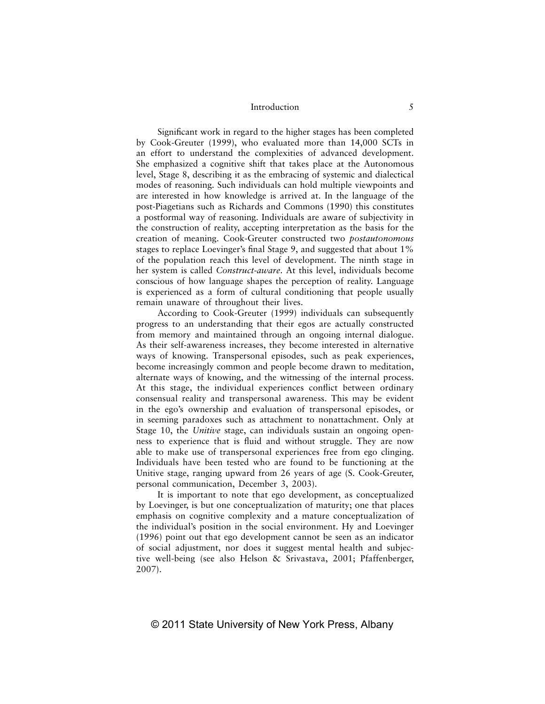## Introduction 5

Significant work in regard to the higher stages has been completed by Cook-Greuter (1999), who evaluated more than 14,000 SCTs in an effort to understand the complexities of advanced development. She emphasized a cognitive shift that takes place at the Autonomous level, Stage 8, describing it as the embracing of systemic and dialectical modes of reasoning. Such individuals can hold multiple viewpoints and are interested in how knowledge is arrived at. In the language of the post-Piagetians such as Richards and Commons (1990) this constitutes a postformal way of reasoning. Individuals are aware of subjectivity in the construction of reality, accepting interpretation as the basis for the creation of meaning. Cook-Greuter constructed two *postautonomous* stages to replace Loevinger's final Stage 9, and suggested that about  $1\%$ of the population reach this level of development. The ninth stage in her system is called *Construct-aware*. At this level, individuals become conscious of how language shapes the perception of reality. Language is experienced as a form of cultural conditioning that people usually remain unaware of throughout their lives.

According to Cook-Greuter (1999) individuals can subsequently progress to an understanding that their egos are actually constructed from memory and maintained through an ongoing internal dialogue. As their self-awareness increases, they become interested in alternative ways of knowing. Transpersonal episodes, such as peak experiences, become increasingly common and people become drawn to meditation, alternate ways of knowing, and the witnessing of the internal process. At this stage, the individual experiences conflict between ordinary consensual reality and transpersonal awareness. This may be evident in the ego's ownership and evaluation of transpersonal episodes, or in seeming paradoxes such as attachment to nonattachment. Only at Stage 10, the *Unitive* stage, can individuals sustain an ongoing openness to experience that is fluid and without struggle. They are now able to make use of transpersonal experiences free from ego clinging. Individuals have been tested who are found to be functioning at the Unitive stage, ranging upward from 26 years of age (S. Cook-Greuter, personal communication, December 3, 2003).

It is important to note that ego development, as conceptualized by Loevinger, is but one conceptualization of maturity; one that places emphasis on cognitive complexity and a mature conceptualization of the individual's position in the social environment. Hy and Loevinger (1996) point out that ego development cannot be seen as an indicator of social adjustment, nor does it suggest mental health and subjective well-being (see also Helson & Srivastava, 2001; Pfaffenberger, 2007).